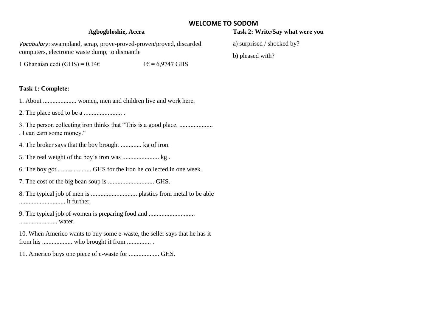## **WELCOME TO SODOM**

## **Agbogbloshie, Accra**

*Vocabulary*: swampland, scrap, prove-proved-proven/proved, discarded computers, electronic waste dump, to dismantle

1 Ghanaian cedi (GHS) =  $0.14\epsilon$  1 $\epsilon$  = 6,9747 GHS

### **Task 1: Complete:**

1. About ..................... women, men and children live and work here.

2. The place used to be a ........................ .

3. The person collecting iron thinks that "This is a good place. ..................... . I can earn some money."

4. The broker says that the boy brought ............. kg of iron.

5. The real weight of the boy´s iron was ....................... kg .

6. The boy got ..................... GHS for the iron he collected in one week.

7. The cost of the big bean soup is ............................. GHS.

8. The typical job of men is ............................. plastics from metal to be able ............................. it further.

9. The typical job of women is preparing food and ............................... ........................ water.

10. When Americo wants to buy some e-waste, the seller says that he has it from his ................... who brought it from ............... .

11. Americo buys one piece of e-waste for ................... GHS.

# **Task 2: Write/Say what were you**

a) surprised / shocked by?

b) pleased with?